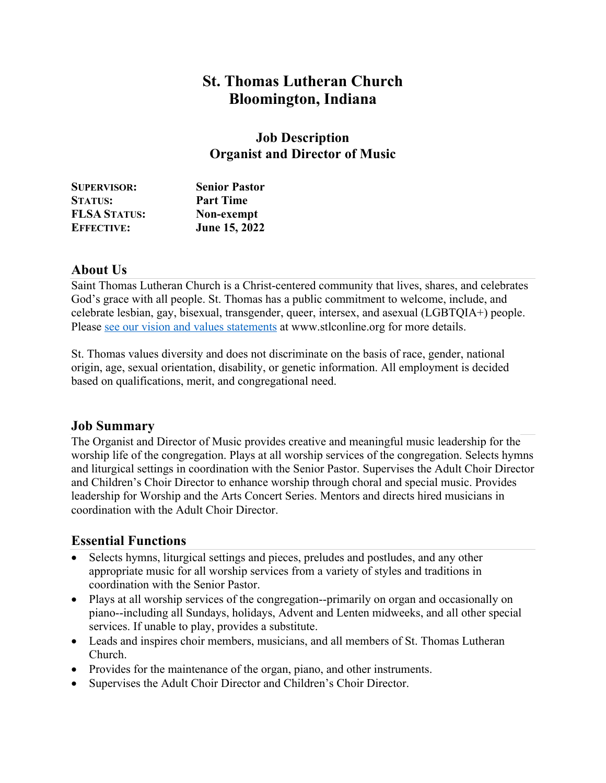# **St. Thomas Lutheran Church Bloomington, Indiana**

#### **Job Description Organist and Director of Music**

| <b>SUPERVISOR:</b>  | <b>Senior Pastor</b> |
|---------------------|----------------------|
| <b>STATUS:</b>      | <b>Part Time</b>     |
| <b>FLSA STATUS:</b> | Non-exempt           |
| <b>EFFECTIVE:</b>   | June 15, 2022        |

#### **About Us**

Saint Thomas Lutheran Church is a Christ-centered community that lives, shares, and celebrates God's grace with all people. St. Thomas has a public commitment to welcome, include, and celebrate lesbian, gay, bisexual, transgender, queer, intersex, and asexual (LGBTQIA+) people. Please see our vision and values statements at www.stlconline.org for more details.

St. Thomas values diversity and does not discriminate on the basis of race, gender, national origin, age, sexual orientation, disability, or genetic information. All employment is decided based on qualifications, merit, and congregational need.

#### **Job Summary**

The Organist and Director of Music provides creative and meaningful music leadership for the worship life of the congregation. Plays at all worship services of the congregation. Selects hymns and liturgical settings in coordination with the Senior Pastor. Supervises the Adult Choir Director and Children's Choir Director to enhance worship through choral and special music. Provides leadership for Worship and the Arts Concert Series. Mentors and directs hired musicians in coordination with the Adult Choir Director.

#### **Essential Functions**

- Selects hymns, liturgical settings and pieces, preludes and postludes, and any other appropriate music for all worship services from a variety of styles and traditions in coordination with the Senior Pastor.
- Plays at all worship services of the congregation--primarily on organ and occasionally on piano--including all Sundays, holidays, Advent and Lenten midweeks, and all other special services. If unable to play, provides a substitute.
- Leads and inspires choir members, musicians, and all members of St. Thomas Lutheran Church.
- Provides for the maintenance of the organ, piano, and other instruments.
- Supervises the Adult Choir Director and Children's Choir Director.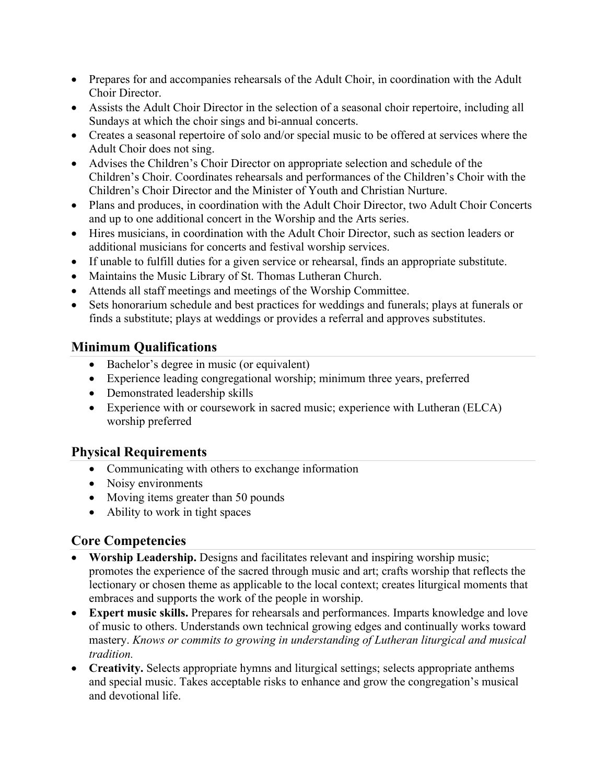- Prepares for and accompanies rehearsals of the Adult Choir, in coordination with the Adult Choir Director.
- Assists the Adult Choir Director in the selection of a seasonal choir repertoire, including all Sundays at which the choir sings and bi-annual concerts.
- Creates a seasonal repertoire of solo and/or special music to be offered at services where the Adult Choir does not sing.
- Advises the Children's Choir Director on appropriate selection and schedule of the Children's Choir. Coordinates rehearsals and performances of the Children's Choir with the Children's Choir Director and the Minister of Youth and Christian Nurture.
- Plans and produces, in coordination with the Adult Choir Director, two Adult Choir Concerts and up to one additional concert in the Worship and the Arts series.
- Hires musicians, in coordination with the Adult Choir Director, such as section leaders or additional musicians for concerts and festival worship services.
- If unable to fulfill duties for a given service or rehearsal, finds an appropriate substitute.
- Maintains the Music Library of St. Thomas Lutheran Church.
- Attends all staff meetings and meetings of the Worship Committee.
- Sets honorarium schedule and best practices for weddings and funerals; plays at funerals or finds a substitute; plays at weddings or provides a referral and approves substitutes.

### **Minimum Qualifications**

- Bachelor's degree in music (or equivalent)
- Experience leading congregational worship; minimum three years, preferred
- Demonstrated leadership skills
- Experience with or coursework in sacred music; experience with Lutheran (ELCA) worship preferred

#### **Physical Requirements**

- Communicating with others to exchange information
- Noisy environments
- Moving items greater than 50 pounds
- Ability to work in tight spaces

#### **Core Competencies**

- **Worship Leadership.** Designs and facilitates relevant and inspiring worship music; promotes the experience of the sacred through music and art; crafts worship that reflects the lectionary or chosen theme as applicable to the local context; creates liturgical moments that embraces and supports the work of the people in worship.
- **Expert music skills.** Prepares for rehearsals and performances. Imparts knowledge and love of music to others. Understands own technical growing edges and continually works toward mastery. *Knows or commits to growing in understanding of Lutheran liturgical and musical tradition.*
- **Creativity.** Selects appropriate hymns and liturgical settings; selects appropriate anthems and special music. Takes acceptable risks to enhance and grow the congregation's musical and devotional life.